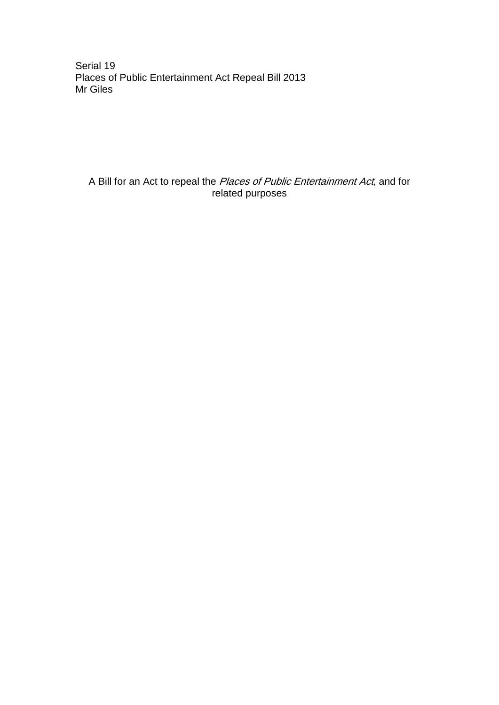Serial 19 Places of Public Entertainment Act Repeal Bill 2013 Mr Giles

A Bill for an Act to repeal the *Places of Public Entertainment Act*, and for related purposes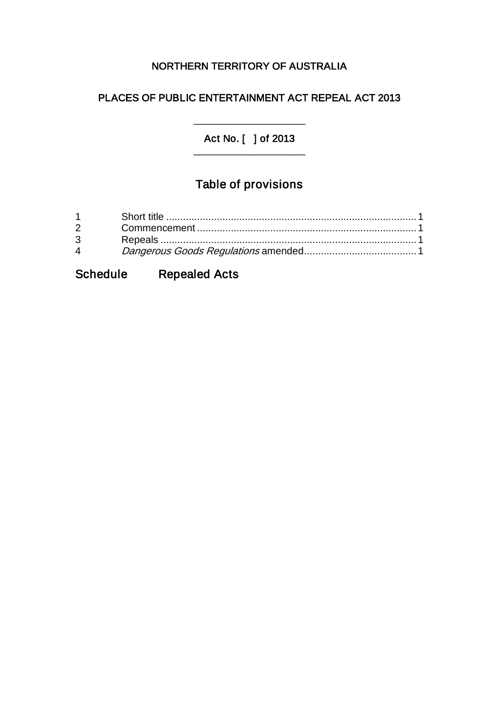## NORTHERN TERRITORY OF AUSTRALIA

## PLACES OF PUBLIC ENTERTAINMENT ACT REPEAL ACT 2013

Act No. [ ] of 2013 \_\_\_\_\_\_\_\_\_\_\_\_\_\_\_\_\_\_\_\_

\_\_\_\_\_\_\_\_\_\_\_\_\_\_\_\_\_\_\_\_

# Table of provisions

| $1 \quad \blacksquare$ |  |
|------------------------|--|
| $\overline{2}$         |  |
| $\mathbf{3}$           |  |
| $\mathbf 4$            |  |
|                        |  |

## Schedule Repealed Acts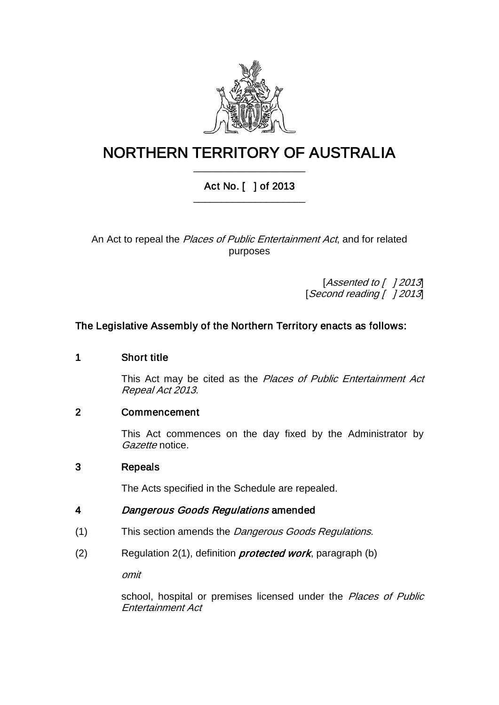

## NORTHERN TERRITORY OF AUSTRALIA \_\_\_\_\_\_\_\_\_\_\_\_\_\_\_\_\_\_\_\_

### Act No. [ ] of 2013 \_\_\_\_\_\_\_\_\_\_\_\_\_\_\_\_\_\_\_\_

An Act to repeal the Places of Public Entertainment Act, and for related purposes

> [Assented to [ ] 2013] [Second reading [ ] 2013]

#### The Legislative Assembly of the Northern Territory enacts as follows:

#### 1 Short title

This Act may be cited as the Places of Public Entertainment Act Repeal Act 2013.

#### 2 Commencement

This Act commences on the day fixed by the Administrator by Gazette notice.

#### <span id="page-2-0"></span>3 Repeals

The Acts specified in the Schedule are repealed.

#### 4 Dangerous Goods Regulations amended

- (1) This section amends the *Dangerous Goods Regulations*.
- (2) Regulation 2(1), definition *protected work*, paragraph (b)

omit

school, hospital or premises licensed under the Places of Public Entertainment Act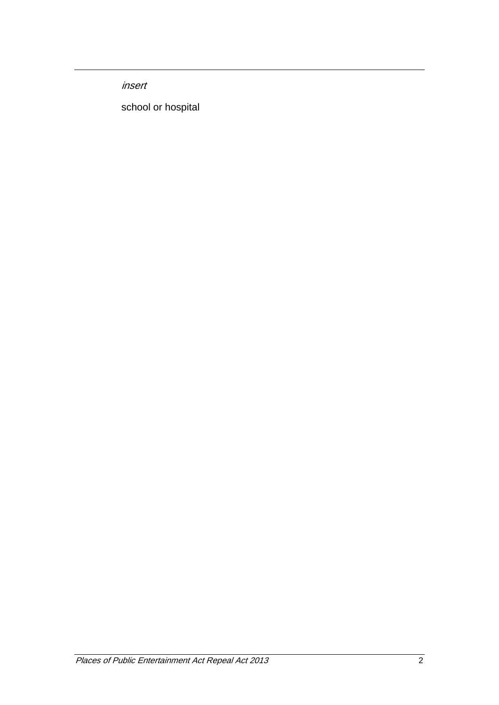insert

school or hospital